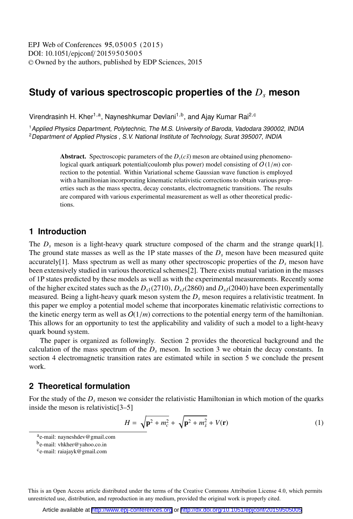DOI: 10.1051/epjconf/ 20159505005 -<sup>C</sup> Owned by the authors, published by EDP Sciences, 2015 EPJ Web of Conferences 95,05005 (2015)

# **Study of various spectroscopic properties of the** *Ds* **meson**

Virendrasinh H. Kher<sup>1,a</sup>, Nayneshkumar Devlani<sup>1,b</sup>, and Ajay Kumar Rai<sup>2,c</sup>

<sup>1</sup> Applied Physics Department, Polytechnic, The M.S. University of Baroda, Vadodara 390002, INDIA <sup>2</sup> Department of Applied Physics, S.V. National Institute of Technology, Surat 395007, INDIA

> Abstract. Spectroscopic parameters of the  $D<sub>s</sub>(c\bar{s})$  meson are obtained using phenomenological quark antiquark potential(coulomb plus power) model consisting of  $O(1/m)$  correction to the potential. Within Variational scheme Gaussian wave function is employed with a hamiltonian incorporating kinematic relativistic corrections to obtain various properties such as the mass spectra, decay constants, electromagnetic transitions. The results are compared with various experimental measurement as well as other theoretical predictions.

## **1 Introduction**

The *D<sub>s</sub>* meson is a light-heavy quark structure composed of the charm and the strange quark[1]. The ground state masses as well as the 1P state masses of the  $D_s$  meson have been measured quite accurately<sup>[1]</sup>. Mass spectrum as well as many other spectroscopic properties of the  $D_s$  meson have been extensively studied in various theoretical schemes[2]. There exists mutual variation in the masses of 1P states predicted by these models as well as with the experimental measurements. Recently some of the higher excited states such as the  $D_{s1}(2710)$ ,  $D_{sJ}(2860)$  and  $D_{sJ}(2040)$  have been experimentally measured. Being a light-heavy quark meson system the *Ds* meson requires a relativistic treatment. In this paper we employ a potential model scheme that incorporates kinematic relativistic corrections to the kinetic energy term as well as  $O(1/m)$  corrections to the potential energy term of the hamiltonian. This allows for an opportunity to test the applicability and validity of such a model to a light-heavy quark bound system.

The paper is organized as followingly. Section 2 provides the theoretical background and the calculation of the mass spectrum of the  $D<sub>s</sub>$  meson. In section 3 we obtain the decay constants. In section 4 electromagnetic transition rates are estimated while in section 5 we conclude the present work.

## **2 Theoretical formulation**

For the study of the *Ds* meson we consider the relativistic Hamiltonian in which motion of the quarks inside the meson is relativistic[3–5]

$$
H = \sqrt{\mathbf{p}^2 + m_c^2} + \sqrt{\mathbf{p}^2 + m_{\overline{s}}^2} + V(\mathbf{r})
$$
 (1)

This is an Open Access article distributed under the terms of the Creative Commons Attribution License 4.0, which permits unrestricted use, distribution, and reproduction in any medium, provided the original work is properly cited.

ae-mail: nayneshdev@gmail.com

be-mail: vhkher@yahoo.co.in

 $c_{e-mail: \text{raiajayk@gmail.com}}$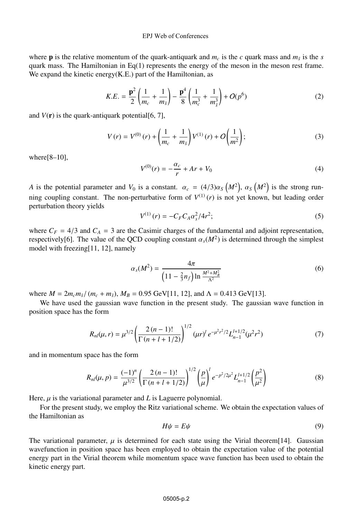#### EPJ Web of Conferences

where **p** is the relative momentum of the quark-antiquark and  $m_c$  is the *c* quark mass and  $m_{\overline{s}}$  is the *s* quark mass. The Hamiltonian in Eq(1) represents the energy of the meson in the meson rest frame. We expand the kinetic energy(K.E.) part of the Hamiltonian, as

$$
K.E. = \frac{\mathbf{p}^2}{2} \left( \frac{1}{m_c} + \frac{1}{m_{\bar{s}}} \right) - \frac{\mathbf{p}^4}{8} \left( \frac{1}{m_c^3} + \frac{1}{m_{\bar{s}}^3} \right) + O(p^6)
$$
 (2)

and  $V(\mathbf{r})$  is the quark-antiquark potential [6, 7],

$$
V(r) = V^{(0)}(r) + \left(\frac{1}{m_c} + \frac{1}{m_{\bar{s}}}\right) V^{(1)}(r) + O\left(\frac{1}{m^2}\right);
$$
\n(3)

where $[8-10]$ ,

$$
V^{(0)}(r) = -\frac{\alpha_c}{r} + Ar + V_0 \tag{4}
$$

*A* is the potential parameter and  $V_0$  is a constant.  $\alpha_c = (4/3)\alpha_S (M^2)$ ,  $\alpha_S (M^2)$  is the strong running coupling constant. The non-perturbative form of  $V^{(1)}(r)$  is not yet known, but leading order perturbation theory yields

$$
V^{(1)}(r) = -C_F C_A \alpha_s^2 / 4r^2; \tag{5}
$$

where  $C_F = 4/3$  and  $C_A = 3$  are the Casimir charges of the fundamental and adjoint representation, respectively[6]. The value of the QCD coupling constant  $\alpha_s(M^2)$  is determined through the simplest model with freezing[11, 12], namely

$$
\alpha_s(M^2) = \frac{4\pi}{\left(11 - \frac{2}{3}n_f\right) \ln \frac{M^2 + M_B^2}{\Lambda^2}}
$$
\n(6)

where  $M = 2m_c m_{\bar{s}}/(m_c + m_{\bar{s}}), M_B = 0.95$  GeV[11, 12], and  $\Lambda = 0.413$  GeV[13].

We have used the gaussian wave function in the present study. The gaussian wave function in position space has the form

$$
R_{nl}(\mu, r) = \mu^{3/2} \left( \frac{2 (n-1)!}{\Gamma(n+l+1/2)} \right)^{1/2} (\mu r)^{l} e^{-\mu^{2} r^{2} / 2} L_{n-1}^{l+1/2} (\mu^{2} r^{2})
$$
(7)

and in momentum space has the form

$$
R_{nl}(\mu, p) = \frac{(-1)^n}{\mu^{3/2}} \left( \frac{2(n-1)!}{\Gamma(n+l+1/2)} \right)^{1/2} \left( \frac{p}{\mu} \right)^l e^{-p^2/2\mu^2} L_{n-1}^{l+1/2} \left( \frac{p^2}{\mu^2} \right)
$$
(8)

Here,  $\mu$  is the variational parameter and *L* is Laguerre polynomial.

For the present study, we employ the Ritz variational scheme. We obtain the expectation values of the Hamiltonian as

$$
H\psi = E\psi \tag{9}
$$

The variational parameter,  $\mu$  is determined for each state using the Virial theorem [14]. Gaussian wavefunction in position space has been employed to obtain the expectation value of the potential energy part in the Virial theorem while momentum space wave function has been used to obtain the kinetic energy part.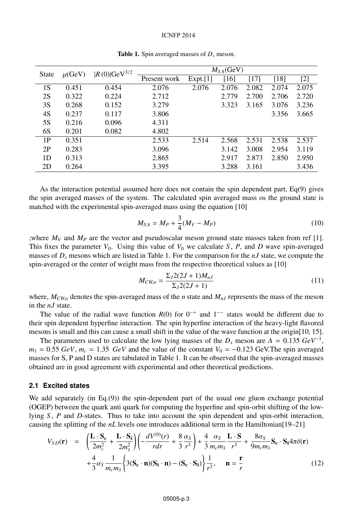#### ICNFP 2014

| <b>State</b> | $\mu$ (GeV) | $ R(0) $ GeV <sup>3/2</sup> | $M_{SA}$ (GeV) |          |       |       |       |       |
|--------------|-------------|-----------------------------|----------------|----------|-------|-------|-------|-------|
|              |             |                             | Present work   | Expt.[1] | [16]  | [17]  | [18]  | $[2]$ |
| 1S           | 0.451       | 0.454                       | 2.076          | 2.076    | 2.076 | 2.082 | 2.074 | 2.075 |
| 2S           | 0.322       | 0.224                       | 2.712          |          | 2.779 | 2.700 | 2.706 | 2.720 |
| 3S           | 0.268       | 0.152                       | 3.279          |          | 3.323 | 3.165 | 3.076 | 3.236 |
| 4S           | 0.237       | 0.117                       | 3.806          |          |       |       | 3.356 | 3.665 |
| 5S           | 0.216       | 0.096                       | 4.311          |          |       |       |       |       |
| 6S           | 0.201       | 0.082                       | 4.802          |          |       |       |       |       |
| 1P           | 0.351       |                             | 2.533          | 2.514    | 2.568 | 2.531 | 2.538 | 2.537 |
| 2P           | 0.283       |                             | 3.096          |          | 3.142 | 3.008 | 2.954 | 3.119 |
| 1D           | 0.313       |                             | 2.865          |          | 2.917 | 2.873 | 2.850 | 2.950 |
| 2D           | 0.264       |                             | 3.395          |          | 3.288 | 3.161 |       | 3.436 |

Table 1. Spin averaged masses of  $D_s$  meson.

As the interaction potential assumed here does not contain the spin dependent part,  $Eq(9)$  gives the spin averaged masses of the system. The calculated spin averaged mass os the ground state is matched with the experimental spin-averaged mass using the equation [10]

$$
M_{SA} = M_P + \frac{3}{4}(M_V - M_P) \tag{10}
$$

;where  $M_V$  and  $M_P$  are the vector and pseudoscalar meson ground state masses taken from ref [1]. This fixes the parameter  $V_0$ . Using this value of  $V_0$  we calculate *S*, *P*, and *D* wave spin-averaged masses of *Ds* mesons which are listed in Table 1. For the comparison for the *nJ* state, we compute the spin-averaged or the center of weight mass from the respective theoretical values as [10]

$$
M_{CW,n} = \frac{\Sigma_J 2(2J+1)M_{nJ}}{\Sigma_J 2(2J+1)}
$$
\n(11)

where,  $M_{CWn}$  denotes the spin-averaged mass of the *n* state and  $M_{nJ}$  represents the mass of the meson in the *nJ* state.

The value of the radial wave function  $R(0)$  for  $0^{-+}$  and  $1^{--}$  states would be different due to their spin dependent hyperfine interaction. The spin hyperfine interaction of the heavy-light flavored mesons is small and this can cause a small shift in the value of the wave function at the origin[10, 15].

The parameters used to calculate the low lying masses of the  $D_s$  meson are  $A = 0.135 \text{ GeV}^{-1}$ ,  $m_{\bar{s}} = 0.55 \text{ GeV}, m_c = 1.35 \text{ GeV}$  and the value of the constant  $V_0 = -0.123 \text{ GeV}$ . The spin averaged masses for S, P and D states are tabulated in Table 1. It can be observed that the spin-averaged masses obtained are in good agreement with experimental and other theoretical predictions.

### **2.1 Excited states**

We add separately (in Eq.(9)) the spin-dependent part of the usual one gluon exchange potential (OGEP) between the quark anti quark for computing the hyperfine and spin-orbit shifting of the lowlying *S* , *P* and *D*-states. Thus to take into account the spin dependent and spin-orbit interaction, causing the splitting of the *nL* levels one introduces additional term in the Hamiltonian[19–21]

$$
V_{SD}(\mathbf{r}) = \left(\frac{\mathbf{L}\cdot\mathbf{S}_{c}}{2m_{c}^{2}} + \frac{\mathbf{L}\cdot\mathbf{S}_{s}}{2m_{s}^{2}}\right)\left(-\frac{dV^{(0)}(r)}{rdr} + \frac{8}{3}\frac{\alpha_{S}}{r^{3}}\right) + \frac{4}{3}\frac{\alpha_{S}}{m_{c}m_{\bar{s}}} \frac{\mathbf{L}\cdot\mathbf{S}}{r^{3}} + \frac{8\alpha_{S}}{9m_{c}m_{\bar{s}}} \mathbf{S}_{c} \cdot \mathbf{S}_{s} 4\pi\delta(\mathbf{r}) + \frac{4}{3}\alpha_{S}\frac{1}{m_{c}m_{\bar{s}}} \left\{3(\mathbf{S}_{c}\cdot\mathbf{n})(\mathbf{S}_{s}\cdot\mathbf{n}) - (\mathbf{S}_{c}\cdot\mathbf{S}_{s})\right\}\frac{1}{r^{3}}, \quad \mathbf{n} = \frac{\mathbf{r}}{r}
$$
(12)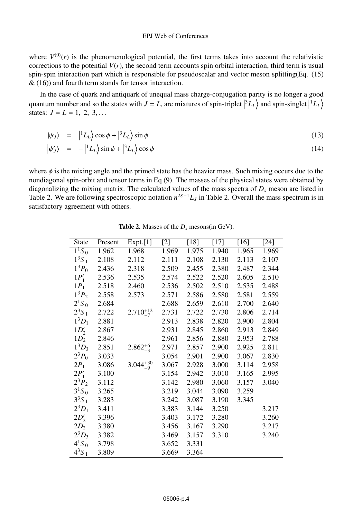### EPJ Web of Conferences

where  $V^{(0)}(r)$  is the phenomenological potential, the first terms takes into account the relativistic corrections to the potential  $V(r)$ , the second term accounts spin orbital interaction, third term is usual spin-spin interaction part which is responsible for pseudoscalar and vector meson splitting(Eq. (15)  $\&$  (16)) and fourth term stands for tensor interaction.

In the case of quark and antiquark of unequal mass charge-conjugation parity is no longer a good quantum number and so the states with  $J = L$ , are mixtures of spin-triplet  $\left| {^{3}L_{L}} \right\rangle$  and spin-singlet  $\left| {^{1}L_{L}} \right\rangle$ states:  $J = L = 1, 2, 3, ...$ 

$$
|\psi_J\rangle = |^1L_L\rangle \cos\phi + |^3L_L\rangle \sin\phi \tag{13}
$$

$$
|\psi'_J\rangle = -|{}^1L_L\rangle \sin\phi + |{}^3L_L\rangle \cos\phi \tag{14}
$$

where  $\phi$  is the mixing angle and the primed state has the heavier mass. Such mixing occurs due to the nondiagonal spin-orbit and tensor terms in Eq (9). The masses of the physical states were obtained by diagonalizing the mixing matrix. The calculated values of the mass spectra of  $D<sub>s</sub>$  meson are listed in Table 2. We are following spectroscopic notation  $n^{2S+1}L_J$  in Table 2. Overall the mass spectrum is in satisfactory agreement with others.

| <b>State</b> | Present | Expt.[1]           | $[2]$ | [18]  | $[17]$ | $[16]$ | $[24]$ |
|--------------|---------|--------------------|-------|-------|--------|--------|--------|
| $1^1S_0$     | 1.962   | 1.968              | 1.969 | 1.975 | 1.940  | 1.965  | 1.969  |
| $1^3S_1$     | 2.108   | 2.112              | 2.111 | 2.108 | 2.130  | 2.113  | 2.107  |
| $1^3P_0$     | 2.436   | 2.318              | 2.509 | 2.455 | 2.380  | 2.487  | 2.344  |
| $1P'_1$      | 2.536   | 2.535              | 2.574 | 2.522 | 2.520  | 2.605  | 2.510  |
| $1P_1$       | 2.518   | 2.460              | 2.536 | 2.502 | 2.510  | 2.535  | 2.488  |
| $1^3P_2$     | 2.558   | 2.573              | 2.571 | 2.586 | 2.580  | 2.581  | 2.559  |
| $2^1S_0$     | 2.684   |                    | 2.688 | 2.659 | 2.610  | 2.700  | 2.640  |
| $2^3S_1$     | 2.722   | $2.710^{+12}_{-7}$ | 2.731 | 2.722 | 2.730  | 2.806  | 2.714  |
| $1^3D_1$     | 2.881   |                    | 2.913 | 2.838 | 2.820  | 2.900  | 2.804  |
| $1D'_2$      | 2.867   |                    | 2.931 | 2.845 | 2.860  | 2.913  | 2.849  |
| $1D_2$       | 2.846   |                    | 2.961 | 2.856 | 2.880  | 2.953  | 2.788  |
| $1^3D_3$     | 2.851   | $2.862^{+6}_{-3}$  | 2.971 | 2.857 | 2.900  | 2.925  | 2.811  |
| $2^3P_0$     | 3.033   |                    | 3.054 | 2.901 | 2.900  | 3.067  | 2.830  |
| $2P_1$       | 3.086   | $3.044_{-9}^{+30}$ | 3.067 | 2.928 | 3.000  | 3.114  | 2.958  |
| $2P_1'$      | 3.100   |                    | 3.154 | 2.942 | 3.010  | 3.165  | 2.995  |
| $2^3P_2$     | 3.112   |                    | 3.142 | 2.980 | 3.060  | 3.157  | 3.040  |
| $3^1S_0$     | 3.265   |                    | 3.219 | 3.044 | 3.090  | 3.259  |        |
| $3^3S_1$     | 3.283   |                    | 3.242 | 3.087 | 3.190  | 3.345  |        |
| $2^{3}D_{1}$ | 3.411   |                    | 3.383 | 3.144 | 3.250  |        | 3.217  |
| $2D'_2$      | 3.396   |                    | 3.403 | 3.172 | 3.280  |        | 3.260  |
| $2D_2$       | 3.380   |                    | 3.456 | 3.167 | 3.290  |        | 3.217  |
| $2^3D_3$     | 3.382   |                    | 3.469 | 3.157 | 3.310  |        | 3.240  |
| $4^{1}S_{0}$ | 3.798   |                    | 3.652 | 3.331 |        |        |        |
| $4^{3}S_{1}$ | 3.809   |                    | 3.669 | 3.364 |        |        |        |

**Table 2.** Masses of the  $D_s$  mesons(in GeV).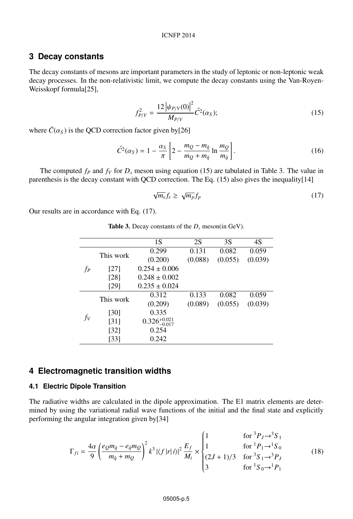### ICNFP 2014

### **3 Decay constants**

The decay constants of mesons are important parameters in the study of leptonic or non-leptonic weak decay processes. In the non-relativistic limit, we compute the decay constants using the Van-Royen-Weisskopf formula[25],

$$
f_{P/V}^2 = \frac{12 \left| \psi_{P/V}(0) \right|^2}{M_{P/V}} \bar{C}^2(\alpha_S); \tag{15}
$$

where  $\bar{C}(\alpha_S)$  is the QCD correction factor given by[26]

$$
\bar{C}^2(\alpha_S) = 1 - \frac{\alpha_S}{\pi} \left[ 2 - \frac{m_Q - m_{\bar{q}}}{m_Q + m_{\bar{q}}} \ln \frac{m_Q}{m_{\bar{q}}} \right].
$$
\n(16)

The computed  $f_P$  and  $f_V$  for  $D_s$  meson using equation (15) are tabulated in Table 3. The value in parenthesis is the decay constant with QCD correction. The Eq.  $(15)$  also gives the inequality $[14]$ 

$$
\sqrt{m_v} f_v \ge \sqrt{m_p} f_p \tag{17}
$$

Our results are in accordance with Eq. (17).

|  | <b>Table 3.</b> Decay constants of the $D_s$ meson(in GeV). |  |  |  |
|--|-------------------------------------------------------------|--|--|--|
|--|-------------------------------------------------------------|--|--|--|

|       |           | 1S                        | 2S      | 3S      | 4S      |
|-------|-----------|---------------------------|---------|---------|---------|
| fp    | This work | 0.299                     | 0.131   | 0.082   | 0.059   |
|       |           | (0.200)                   | (0.088) | (0.055) | (0.039) |
|       | [27]      | $0.254 \pm 0.006$         |         |         |         |
|       | [28]      | $0.248 \pm 0.002$         |         |         |         |
|       | [29]      | $0.235 \pm 0.024$         |         |         |         |
|       | This work | 0.312                     | 0.133   | 0.082   | 0.059   |
|       |           | (0.209)                   | (0.089) | (0.055) | (0.039) |
| $f_V$ | [30]      | 0.335                     |         |         |         |
|       | [31]      | $0.326_{-0.017}^{+0.021}$ |         |         |         |
|       | [32]      | 0.254                     |         |         |         |
|       | [33]      | 0.242                     |         |         |         |

### **4 Electromagnetic transition widths**

### **4.1 Electric Dipole Transition**

The radiative widths are calculated in the dipole approximation. The E1 matrix elements are determined by using the variational radial wave functions of the initial and the final state and explicitly performing the angular integration given by[34]

$$
\Gamma_{fi} = \frac{4\alpha}{9} \left( \frac{e_{Q}m_{\bar{q}} - e_{\bar{q}}m_{Q}}{m_{\bar{q}} + m_{Q}} \right)^{2} k^{3} |\langle f|r|i \rangle|^{2} \frac{E_{f}}{M_{i}} \times \begin{cases} 1 & \text{for } {}^{3}P_{J} \to {}^{3}S_{1} \\ 1 & \text{for } {}^{1}P_{1} \to {}^{1}S_{0} \\ (2J+1)/3 & \text{for } {}^{3}S_{1} \to {}^{3}P_{J} \\ 3 & \text{for } {}^{1}S_{0} \to {}^{1}P_{1} \end{cases}
$$
(18)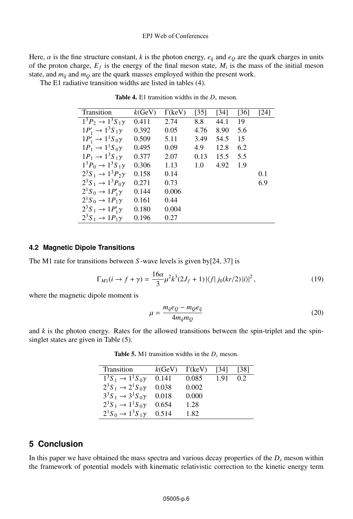### EPJ Web of Conferences

Here,  $\alpha$  is the fine structure constant, k is the photon energy,  $e_{\bar{q}}$  and  $e_Q$  are the quark charges in units of the proton charge,  $E_f$  is the energy of the final meson state,  $M_i$  is the mass of the initial meson state, and  $m_{\bar{q}}$  and  $m_Q$  are the quark masses employed within the present work.

The E1 radiative transition widths are listed in tables (4).

| Transition                        | k(GeV) | $\Gamma$ (keV) | [35] | $[34]$ | [36] | [24] |
|-----------------------------------|--------|----------------|------|--------|------|------|
| $1^3P_2 \to 1^3S_1\gamma$         | 0.411  | 2.74           | 8.8  | 44.1   | 19   |      |
| $1P'_1 \rightarrow 1^3S_1\gamma$  | 0.392  | 0.05           | 4.76 | 8.90   | 5.6  |      |
| $1P'_1 \rightarrow 1^1S_0\gamma$  | 0.509  | 5.11           | 3.49 | 54.5   | 15   |      |
| $1P_1 \rightarrow 1^1S_0\gamma$   | 0.495  | 0.09           | 4.9  | 12.8   | 6.2  |      |
| $1P_1 \rightarrow 1^3S_1\gamma$   | 0.377  | 2.07           | 0.13 | 15.5   | 5.5  |      |
| $1^3P_0 \to 1^3S_1\gamma$         | 0.306  | 1.13           | 1.0  | 4.92   | 1.9  |      |
| $2^3S_1 \rightarrow 1^3P_2\gamma$ | 0.158  | 0.14           |      |        |      | 0.1  |
| $2^3S_1 \rightarrow 1^3P_0\gamma$ | 0.271  | 0.73           |      |        |      | 6.9  |
| $2^1S_0 \rightarrow 1P'_1\gamma$  | 0.144  | 0.006          |      |        |      |      |
| $2^1S_0 \rightarrow 1P_1\gamma$   | 0.161  | 0.44           |      |        |      |      |
| $2^3S_1 \rightarrow 1P'_1\gamma$  | 0.180  | 0.004          |      |        |      |      |
| $2^3S_1 \rightarrow 1P_1\gamma$   | 0.196  | 0.27           |      |        |      |      |

Table 4. E1 transition widths in the *Ds* meson.

### **4.2 Magnetic Dipole Transitions**

L

The M1 rate for transitions between *S* -wave levels is given by[24, 37] is

$$
\Gamma_{M1}(i \to f + \gamma) = \frac{16\alpha}{3} \mu^2 k^3 (2J_f + 1) |\langle f| j_0 (kr/2) |i \rangle|^2 , \qquad (19)
$$

where the magnetic dipole moment is

$$
\mu = \frac{m_{\bar{q}}e_Q - m_Qe_{\bar{q}}}{4m_{\bar{q}}m_Q} \tag{20}
$$

and  $k$  is the photon energy. Rates for the allowed transitions between the spin-triplet and the spinsinglet states are given in Table (5).

| Transition                        | $k$ (GeV) | $\Gamma$ (keV) | [34]   | 1381 |
|-----------------------------------|-----------|----------------|--------|------|
| $1^3S_1 \rightarrow 1^1S_0\gamma$ | 0.141     | 0.085          | - 1.91 | 0.2  |
| $2^3S_1 \rightarrow 2^1S_0\gamma$ | 0.038     | 0.002          |        |      |
| $3^3S_1 \rightarrow 3^1S_0\gamma$ | 0.018     | 0.000          |        |      |
| $2^3S_1 \rightarrow 1^1S_0\gamma$ | 0.654     | 1.28           |        |      |
| $2^1S_0 \rightarrow 1^3S_1\gamma$ | 0.514     | 1.82           |        |      |

Table 5. M1 transition widths in the *Ds* meson.

## **5 Conclusion**

In this paper we have obtained the mass spectra and various decay properties of the  $D<sub>s</sub>$  meson within the framework of potential models with kinematic relativistic correction to the kinetic energy term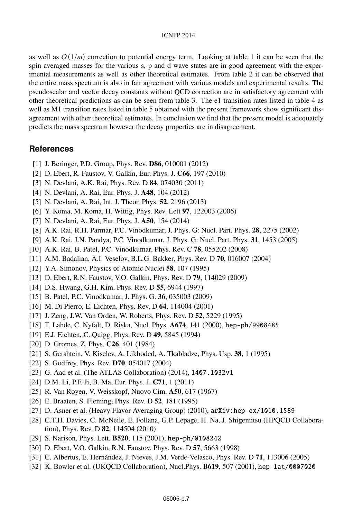#### ICNFP 2014

as well as  $O(1/m)$  correction to potential energy term. Looking at table 1 it can be seen that the spin averaged masses for the various s, p and d wave states are in good agreement with the experimental measurements as well as other theoretical estimates. From table 2 it can be observed that the entire mass spectrum is also in fair agreement with various models and experimental results. The pseudoscalar and vector decay constants without QCD correction are in satisfactory agreement with other theoretical predictions as can be seen from table 3. The e1 transition rates listed in table 4 as well as M1 transition rates listed in table 5 obtained with the present framework show significant disagreement with other theoretical estimates. In conclusion we find that the present model is adequately predicts the mass spectrum however the decay properties are in disagreement.

## **References**

- [1] J. Beringer, P.D. Group, Phys. Rev. **D86**, 010001 (2012)
- [2] D. Ebert, R. Faustov, V. Galkin, Eur. Phys. J. C66, 197 (2010)
- [3] N. Devlani, A.K. Rai, Phys. Rev. D 84, 074030 (2011)
- [4] N. Devlani, A. Rai, Eur. Phys. J. A48, 104 (2012)
- [5] N. Devlani, A. Rai, Int. J. Theor. Phys. 52, 2196 (2013)
- [6] Y. Koma, M. Koma, H. Wittig, Phys. Rev. Lett 97, 122003 (2006)
- [7] N. Devlani, A. Rai, Eur. Phys. J. A50, 154 (2014)
- [8] A.K. Rai, R.H. Parmar, P.C. Vinodkumar, J. Phys. G: Nucl. Part. Phys. 28, 2275 (2002)
- [9] A.K. Rai, J.N. Pandya, P.C. Vinodkumar, J. Phys. G: Nucl. Part. Phys. 31, 1453 (2005)
- [10] A.K. Rai, B. Patel, P.C. Vinodkumar, Phys. Rev. C 78, 055202 (2008)
- [11] A.M. Badalian, A.I. Veselov, B.L.G. Bakker, Phys. Rev. D 70, 016007 (2004)
- [12] Y.A. Simonov, Physics of Atomic Nuclei 58, 107 (1995)
- [13] D. Ebert, R.N. Faustov, V.O. Galkin, Phys. Rev. D **79**, 114029 (2009)
- [14] D.S. Hwang, G.H. Kim, Phys. Rev. D 55, 6944 (1997)
- [15] B. Patel, P.C. Vinodkumar, J. Phys. G. 36, 035003 (2009)
- [16] M. Di Pierro, E. Eichten, Phys. Rev. D 64, 114004 (2001)
- [17] J. Zeng, J.W. Van Orden, W. Roberts, Phys. Rev. D 52, 5229 (1995)
- [18] T. Lahde, C. Nyfalt, D. Riska, Nucl. Phys. A674, 141 (2000), hep-ph/9908485
- [19] E.J. Eichten, C. Quigg, Phys. Rev. D 49, 5845 (1994)
- [20] D. Gromes, Z. Phys. **C26**, 401 (1984)
- [21] S. Gershtein, V. Kiselev, A. Likhoded, A. Tkabladze, Phys. Usp. 38, 1 (1995)
- [22] S. Godfrey, Phys. Rev. **D70**, 054017 (2004)
- [23] G. Aad et al. (The ATLAS Collaboration) (2014), 1407.1032v1
- [24] D.M. Li, P.F. Ji, B. Ma, Eur. Phys. J. **C71**, 1 (2011)
- [25] R. Van Royen, V. Weisskopf, Nuovo Cim. **A50**, 617 (1967)
- [26] E. Braaten, S. Fleming, Phys. Rev. D **52**, 181 (1995)
- [27] D. Asner et al. (Heavy Flavor Averaging Group) (2010), arXiv:hep-ex/1010.1589
- [28] C.T.H. Davies, C. McNeile, E. Follana, G.P. Lepage, H. Na, J. Shigemitsu (HPQCD Collaboration), Phys. Rev. D 82, 114504 (2010)
- [29] S. Narison, Phys. Lett. B520, 115 (2001), hep-ph/0108242
- [30] D. Ebert, V.O. Galkin, R.N. Faustov, Phys. Rev. D 57, 5663 (1998)
- [31] C. Albertus, E. Hernández, J. Nieves, J.M. Verde-Velasco, Phys. Rev. D 71, 113006 (2005)
- [32] K. Bowler et al. (UKQCD Collaboration), Nucl.Phys. B619, 507 (2001), hep-lat/0007020